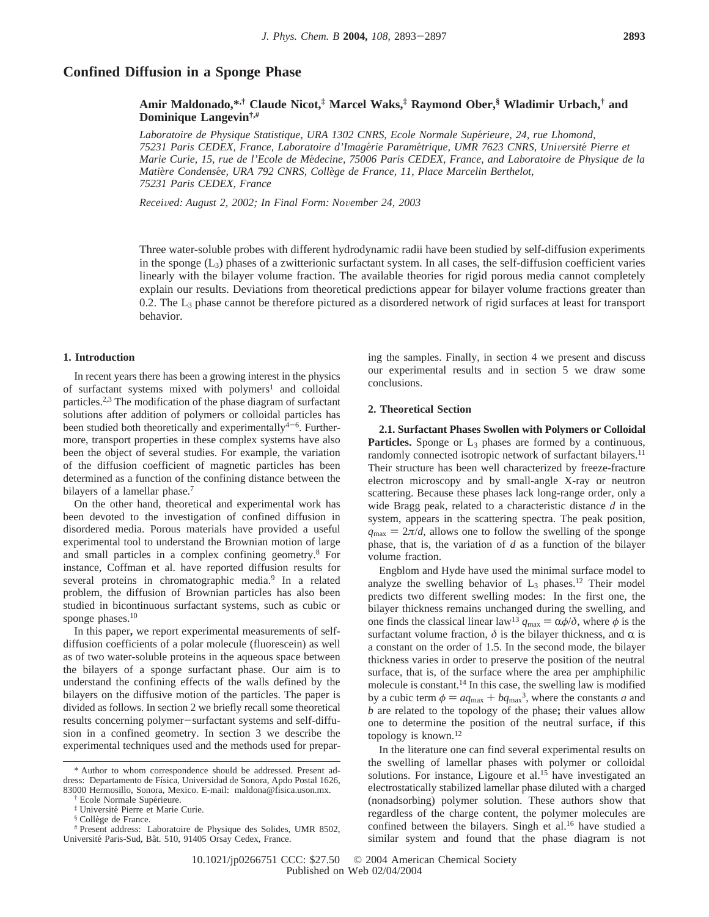# **Confined Diffusion in a Sponge Phase**

**Amir Maldonado,\*,† Claude Nicot,‡ Marcel Waks,‡ Raymond Ober,§ Wladimir Urbach,† and Dominique Langevin†,#**

*Laboratoire de Physique Statistique, URA 1302 CNRS, Ecole Normale Supe*´*rieure, 24, rue Lhomond, 75231 Paris CEDEX, France, Laboratoire d'Image*´*rie Parame*´*trique, UMR 7623 CNRS, Uni*V*ersite*´ *Pierre et Marie Curie, 15, rue de l'Ecole de Me*´*decine, 75006 Paris CEDEX, France, and Laboratoire de Physique de la Matie*`*re Condense*´*e, URA 792 CNRS, Colle*`*ge de France, 11, Place Marcelin Berthelot, 75231 Paris CEDEX, France*

*Recei*V*ed: August 2, 2002; In Final Form: No*V*ember 24, 2003*

Three water-soluble probes with different hydrodynamic radii have been studied by self-diffusion experiments in the sponge  $(L_3)$  phases of a zwitterionic surfactant system. In all cases, the self-diffusion coefficient varies linearly with the bilayer volume fraction. The available theories for rigid porous media cannot completely explain our results. Deviations from theoretical predictions appear for bilayer volume fractions greater than 0.2. The  $L_3$  phase cannot be therefore pictured as a disordered network of rigid surfaces at least for transport behavior.

## **1. Introduction**

In recent years there has been a growing interest in the physics of surfactant systems mixed with polymers<sup>1</sup> and colloidal particles.2,3 The modification of the phase diagram of surfactant solutions after addition of polymers or colloidal particles has been studied both theoretically and experimentally<sup>4-6</sup>. Furthermore, transport properties in these complex systems have also been the object of several studies. For example, the variation of the diffusion coefficient of magnetic particles has been determined as a function of the confining distance between the bilayers of a lamellar phase.<sup>7</sup>

On the other hand, theoretical and experimental work has been devoted to the investigation of confined diffusion in disordered media. Porous materials have provided a useful experimental tool to understand the Brownian motion of large and small particles in a complex confining geometry.8 For instance, Coffman et al. have reported diffusion results for several proteins in chromatographic media.<sup>9</sup> In a related problem, the diffusion of Brownian particles has also been studied in bicontinuous surfactant systems, such as cubic or sponge phases.<sup>10</sup>

In this paper**,** we report experimental measurements of selfdiffusion coefficients of a polar molecule (fluorescein) as well as of two water-soluble proteins in the aqueous space between the bilayers of a sponge surfactant phase. Our aim is to understand the confining effects of the walls defined by the bilayers on the diffusive motion of the particles. The paper is divided as follows. In section 2 we briefly recall some theoretical results concerning polymer-surfactant systems and self-diffusion in a confined geometry. In section 3 we describe the experimental techniques used and the methods used for prepar-

ing the samples. Finally, in section 4 we present and discuss our experimental results and in section 5 we draw some conclusions.

## **2. Theoretical Section**

**2.1. Surfactant Phases Swollen with Polymers or Colloidal Particles.** Sponge or L<sub>3</sub> phases are formed by a continuous, randomly connected isotropic network of surfactant bilayers.<sup>11</sup> Their structure has been well characterized by freeze-fracture electron microscopy and by small-angle X-ray or neutron scattering. Because these phases lack long-range order, only a wide Bragg peak, related to a characteristic distance *d* in the system, appears in the scattering spectra. The peak position,  $q_{\text{max}} = 2\pi/d$ , allows one to follow the swelling of the sponge phase, that is, the variation of *d* as a function of the bilayer volume fraction.

Engblom and Hyde have used the minimal surface model to analyze the swelling behavior of  $L_3$  phases.<sup>12</sup> Their model predicts two different swelling modes: In the first one, the bilayer thickness remains unchanged during the swelling, and one finds the classical linear law<sup>13</sup>  $q_{\text{max}} = \alpha \phi / \delta$ , where  $\phi$  is the surfactant volume fraction,  $\delta$  is the bilayer thickness, and  $\alpha$  is a constant on the order of 1.5. In the second mode, the bilayer thickness varies in order to preserve the position of the neutral surface, that is, of the surface where the area per amphiphilic molecule is constant.14 In this case, the swelling law is modified by a cubic term  $\phi = aq_{\text{max}} + bq_{\text{max}}^3$ , where the constants *a* and *b* are related to the topology of the phase**;** their values allow one to determine the position of the neutral surface, if this topology is known.12

In the literature one can find several experimental results on the swelling of lamellar phases with polymer or colloidal solutions. For instance, Ligoure et al.<sup>15</sup> have investigated an electrostatically stabilized lamellar phase diluted with a charged (nonadsorbing) polymer solution. These authors show that regardless of the charge content, the polymer molecules are confined between the bilayers. Singh et al.<sup>16</sup> have studied a similar system and found that the phase diagram is not

<sup>\*</sup> Author to whom correspondence should be addressed. Present address: Departamento de Física, Universidad de Sonora, Apdo Postal 1626, 83000 Hermosillo, Sonora, Mexico. E-mail: maldona@fisica.uson.mx.

Ecole Normale Supérieure.

<sup>&</sup>lt;sup>‡</sup> Université Pierre et Marie Curie.<br><sup>§</sup> Collège de France.

<sup>#</sup> Present address: Laboratoire de Physique des Solides, UMR 8502, Université Paris-Sud, Bât. 510, 91405 Orsay Cedex, France.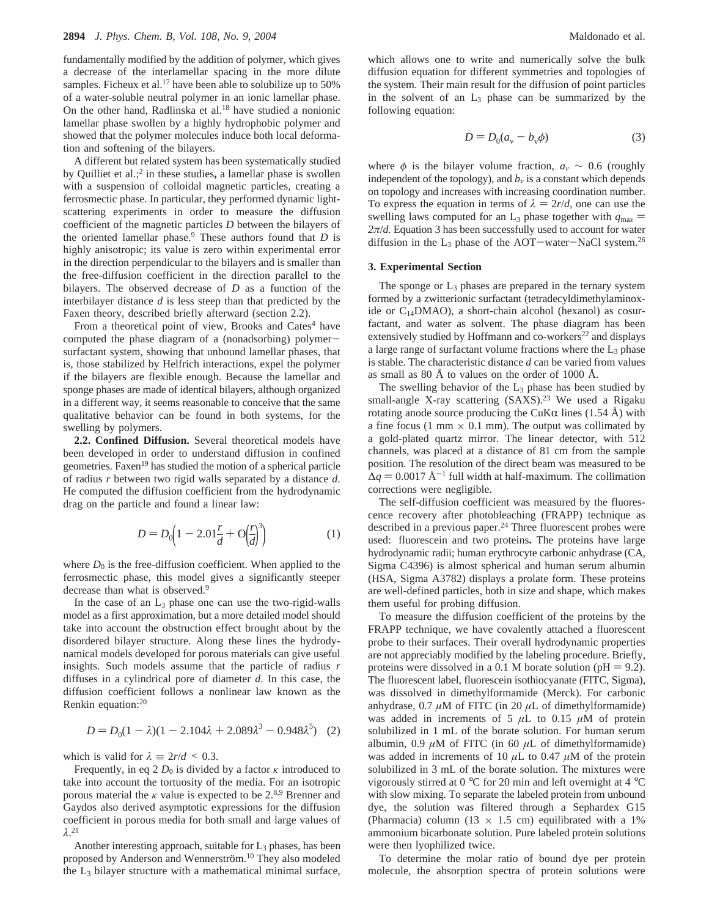fundamentally modified by the addition of polymer, which gives a decrease of the interlamellar spacing in the more dilute samples. Ficheux et al.<sup>17</sup> have been able to solubilize up to 50% of a water-soluble neutral polymer in an ionic lamellar phase. On the other hand, Radlinska et al.18 have studied a nonionic lamellar phase swollen by a highly hydrophobic polymer and showed that the polymer molecules induce both local deformation and softening of the bilayers.

A different but related system has been systematically studied by Quilliet et al.;2 in these studies**,** a lamellar phase is swollen with a suspension of colloidal magnetic particles, creating a ferrosmectic phase. In particular, they performed dynamic lightscattering experiments in order to measure the diffusion coefficient of the magnetic particles *D* between the bilayers of the oriented lamellar phase.9 These authors found that *D* is highly anisotropic; its value is zero within experimental error in the direction perpendicular to the bilayers and is smaller than the free-diffusion coefficient in the direction parallel to the bilayers. The observed decrease of *D* as a function of the interbilayer distance *d* is less steep than that predicted by the Faxen theory, described briefly afterward (section 2.2).

From a theoretical point of view, Brooks and Cates<sup>4</sup> have computed the phase diagram of a (nonadsorbing) polymersurfactant system, showing that unbound lamellar phases, that is, those stabilized by Helfrich interactions, expel the polymer if the bilayers are flexible enough. Because the lamellar and sponge phases are made of identical bilayers, although organized in a different way, it seems reasonable to conceive that the same qualitative behavior can be found in both systems, for the swelling by polymers.

**2.2. Confined Diffusion.** Several theoretical models have been developed in order to understand diffusion in confined geometries. Faxen<sup>19</sup> has studied the motion of a spherical particle of radius *r* between two rigid walls separated by a distance *d*. He computed the diffusion coefficient from the hydrodynamic drag on the particle and found a linear law:

$$
D = D_0 \Big( 1 - 2.01 \frac{r}{d} + O \Big( \frac{r}{d} \Big)^3 \Big) \tag{1}
$$

where  $D_0$  is the free-diffusion coefficient. When applied to the ferrosmectic phase, this model gives a significantly steeper decrease than what is observed.<sup>9</sup>

In the case of an  $L_3$  phase one can use the two-rigid-walls model as a first approximation, but a more detailed model should take into account the obstruction effect brought about by the disordered bilayer structure. Along these lines the hydrodynamical models developed for porous materials can give useful insights. Such models assume that the particle of radius *r* diffuses in a cylindrical pore of diameter *d*. In this case, the diffusion coefficient follows a nonlinear law known as the Renkin equation:20

$$
D = D_0(1 - \lambda)(1 - 2.104\lambda + 2.089\lambda^3 - 0.948\lambda^5) \tag{2}
$$

which is valid for  $\lambda = 2r/d \leq 0.3$ .

Frequently, in eq 2  $D_0$  is divided by a factor  $\kappa$  introduced to take into account the tortuosity of the media. For an isotropic porous material the  $\kappa$  value is expected to be 2.<sup>8,9</sup> Brenner and Gaydos also derived asymptotic expressions for the diffusion coefficient in porous media for both small and large values of *λ*. 21

Another interesting approach, suitable for L3 phases, has been proposed by Anderson and Wennerström.<sup>10</sup> They also modeled the  $L_3$  bilayer structure with a mathematical minimal surface,

which allows one to write and numerically solve the bulk diffusion equation for different symmetries and topologies of the system. Their main result for the diffusion of point particles in the solvent of an  $L_3$  phase can be summarized by the following equation:

$$
D = D_0(a_v - b_v \phi) \tag{3}
$$

where  $\phi$  is the bilayer volume fraction,  $a_v \sim 0.6$  (roughly independent of the topology), and  $b<sub>v</sub>$  is a constant which depends on topology and increases with increasing coordination number. To express the equation in terms of  $\lambda = 2r/d$ , one can use the swelling laws computed for an  $L_3$  phase together with  $q_{\text{max}} =$  $2\pi/d$ . Equation 3 has been successfully used to account for water diffusion in the  $L_3$  phase of the AOT-water-NaCl system.<sup>26</sup>

## **3. Experimental Section**

The sponge or  $L_3$  phases are prepared in the ternary system formed by a zwitterionic surfactant (tetradecyldimethylaminoxide or  $C_{14}$ DMAO), a short-chain alcohol (hexanol) as cosurfactant, and water as solvent. The phase diagram has been extensively studied by Hoffmann and  $\cos$ -workers<sup>22</sup> and displays a large range of surfactant volume fractions where the  $L_3$  phase is stable. The characteristic distance *d* can be varied from values as small as 80 Å to values on the order of 1000 Å.

The swelling behavior of the  $L_3$  phase has been studied by small-angle X-ray scattering (SAXS).<sup>23</sup> We used a Rigaku rotating anode source producing the CuK $\alpha$  lines (1.54 Å) with a fine focus (1 mm  $\times$  0.1 mm). The output was collimated by a gold-plated quartz mirror. The linear detector, with 512 channels, was placed at a distance of 81 cm from the sample position. The resolution of the direct beam was measured to be  $\Delta q = 0.0017 \text{ Å}^{-1}$  full width at half-maximum. The collimation corrections were negligible.

The self-diffusion coefficient was measured by the fluorescence recovery after photobleaching (FRAPP) technique as described in a previous paper.<sup>24</sup> Three fluorescent probes were used: fluorescein and two proteins**.** The proteins have large hydrodynamic radii; human erythrocyte carbonic anhydrase (CA, Sigma C4396) is almost spherical and human serum albumin (HSA, Sigma A3782) displays a prolate form. These proteins are well-defined particles, both in size and shape, which makes them useful for probing diffusion.

To measure the diffusion coefficient of the proteins by the FRAPP technique, we have covalently attached a fluorescent probe to their surfaces. Their overall hydrodynamic properties are not appreciably modified by the labeling procedure. Briefly, proteins were dissolved in a 0.1 M borate solution ( $pH = 9.2$ ). The fluorescent label, fluorescein isothiocyanate (FITC, Sigma), was dissolved in dimethylformamide (Merck). For carbonic anhydrase,  $0.7 \mu M$  of FITC (in 20  $\mu L$  of dimethylformamide) was added in increments of 5  $\mu$ L to 0.15  $\mu$ M of protein solubilized in 1 mL of the borate solution. For human serum albumin, 0.9  $\mu$ M of FITC (in 60  $\mu$ L of dimethylformamide) was added in increments of 10  $\mu$ L to 0.47  $\mu$ M of the protein solubilized in 3 mL of the borate solution. The mixtures were vigorously stirred at  $0^{\circ}$ C for 20 min and left overnight at  $4^{\circ}$ C with slow mixing. To separate the labeled protein from unbound dye, the solution was filtered through a Sephardex G15 (Pharmacia) column (13  $\times$  1.5 cm) equilibrated with a 1% ammonium bicarbonate solution. Pure labeled protein solutions were then lyophilized twice.

To determine the molar ratio of bound dye per protein molecule, the absorption spectra of protein solutions were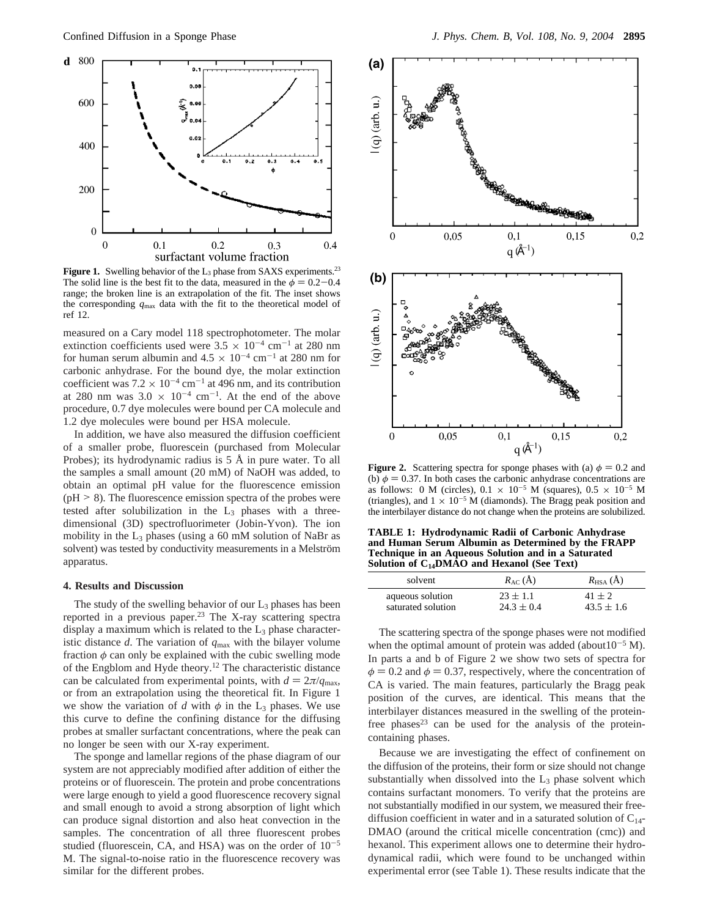

Figure 1. Swelling behavior of the L<sub>3</sub> phase from SAXS experiments.<sup>23</sup> The solid line is the best fit to the data, measured in the  $\phi = 0.2 - 0.4$ range; the broken line is an extrapolation of the fit. The inset shows the corresponding *q*max data with the fit to the theoretical model of ref 12.

measured on a Cary model 118 spectrophotometer. The molar extinction coefficients used were  $3.5 \times 10^{-4}$  cm<sup>-1</sup> at 280 nm for human serum albumin and  $4.5 \times 10^{-4}$  cm<sup>-1</sup> at 280 nm for carbonic anhydrase. For the bound dye, the molar extinction coefficient was  $7.2 \times 10^{-4}$  cm<sup>-1</sup> at 496 nm, and its contribution at 280 nm was  $3.0 \times 10^{-4}$  cm<sup>-1</sup>. At the end of the above procedure, 0.7 dye molecules were bound per CA molecule and 1.2 dye molecules were bound per HSA molecule.

In addition, we have also measured the diffusion coefficient of a smaller probe, fluorescein (purchased from Molecular Probes); its hydrodynamic radius is 5 Å in pure water. To all the samples a small amount (20 mM) of NaOH was added, to obtain an optimal pH value for the fluorescence emission  $(pH > 8)$ . The fluorescence emission spectra of the probes were tested after solubilization in the  $L_3$  phases with a threedimensional (3D) spectrofluorimeter (Jobin-Yvon). The ion mobility in the  $L_3$  phases (using a 60 mM solution of NaBr as solvent) was tested by conductivity measurements in a Melström apparatus.

#### **4. Results and Discussion**

The study of the swelling behavior of our  $L_3$  phases has been reported in a previous paper.<sup>23</sup> The X-ray scattering spectra display a maximum which is related to the  $L_3$  phase characteristic distance *d*. The variation of *q*max with the bilayer volume fraction  $\phi$  can only be explained with the cubic swelling mode of the Engblom and Hyde theory.12 The characteristic distance can be calculated from experimental points, with  $d = 2\pi / q_{\text{max}}$ , or from an extrapolation using the theoretical fit. In Figure 1 we show the variation of *d* with  $\phi$  in the L<sub>3</sub> phases. We use this curve to define the confining distance for the diffusing probes at smaller surfactant concentrations, where the peak can no longer be seen with our X-ray experiment.

The sponge and lamellar regions of the phase diagram of our system are not appreciably modified after addition of either the proteins or of fluorescein. The protein and probe concentrations were large enough to yield a good fluorescence recovery signal and small enough to avoid a strong absorption of light which can produce signal distortion and also heat convection in the samples. The concentration of all three fluorescent probes studied (fluorescein, CA, and HSA) was on the order of  $10^{-5}$ M. The signal-to-noise ratio in the fluorescence recovery was similar for the different probes.



**Figure 2.** Scattering spectra for sponge phases with (a)  $\phi = 0.2$  and (b)  $\phi = 0.37$ . In both cases the carbonic anhydrase concentrations are as follows: 0 M (circles),  $0.1 \times 10^{-5}$  M (squares),  $0.5 \times 10^{-5}$  M (triangles), and  $1 \times 10^{-5}$  M (diamonds). The Bragg peak position and the interbilayer distance do not change when the proteins are solubilized.

**TABLE 1: Hydrodynamic Radii of Carbonic Anhydrase and Human Serum Albumin as Determined by the FRAPP Technique in an Aqueous Solution and in a Saturated Solution of C14DMAO and Hexanol (See Text)**

| solvent            | $R_{AC}(\AA)$  | $R_{\text{HSA}}(\text{A})$ |
|--------------------|----------------|----------------------------|
| aqueous solution   | $23 \pm 1.1$   | $41 + 2$                   |
| saturated solution | $24.3 \pm 0.4$ | $43.5 \pm 1.6$             |

The scattering spectra of the sponge phases were not modified when the optimal amount of protein was added (about  $10^{-5}$  M). In parts a and b of Figure 2 we show two sets of spectra for  $\phi = 0.2$  and  $\phi = 0.37$ , respectively, where the concentration of CA is varied. The main features, particularly the Bragg peak position of the curves, are identical. This means that the interbilayer distances measured in the swelling of the proteinfree phases<sup>23</sup> can be used for the analysis of the proteincontaining phases.

Because we are investigating the effect of confinement on the diffusion of the proteins, their form or size should not change substantially when dissolved into the  $L_3$  phase solvent which contains surfactant monomers. To verify that the proteins are not substantially modified in our system, we measured their freediffusion coefficient in water and in a saturated solution of  $C_{14}$ -DMAO (around the critical micelle concentration (cmc)) and hexanol. This experiment allows one to determine their hydrodynamical radii, which were found to be unchanged within experimental error (see Table 1). These results indicate that the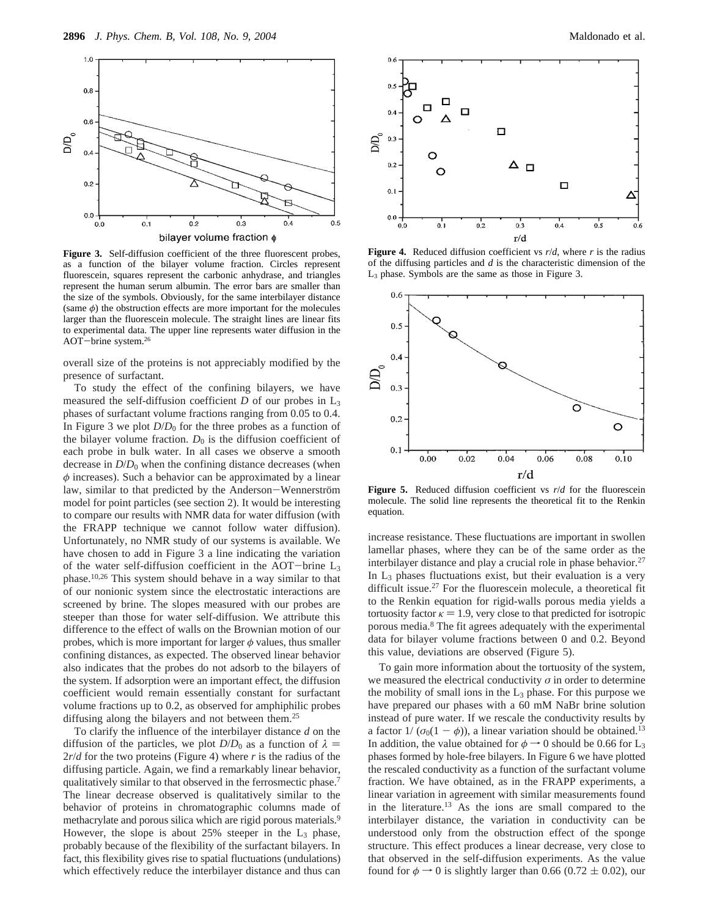

**Figure 3.** Self-diffusion coefficient of the three fluorescent probes, as a function of the bilayer volume fraction. Circles represent fluorescein, squares represent the carbonic anhydrase, and triangles represent the human serum albumin. The error bars are smaller than the size of the symbols. Obviously, for the same interbilayer distance (same  $\phi$ ) the obstruction effects are more important for the molecules larger than the fluorescein molecule. The straight lines are linear fits to experimental data. The upper line represents water diffusion in the AOT-brine system.26

overall size of the proteins is not appreciably modified by the presence of surfactant.

To study the effect of the confining bilayers, we have measured the self-diffusion coefficient *D* of our probes in L3 phases of surfactant volume fractions ranging from 0.05 to 0.4. In Figure 3 we plot  $D/D_0$  for the three probes as a function of the bilayer volume fraction.  $D_0$  is the diffusion coefficient of each probe in bulk water. In all cases we observe a smooth decrease in *D*/*D*<sup>0</sup> when the confining distance decreases (when *φ* increases). Such a behavior can be approximated by a linear law, similar to that predicted by the Anderson-Wennerström model for point particles (see section 2). It would be interesting to compare our results with NMR data for water diffusion (with the FRAPP technique we cannot follow water diffusion). Unfortunately, no NMR study of our systems is available. We have chosen to add in Figure 3 a line indicating the variation of the water self-diffusion coefficient in the AOT-brine  $L_3$ phase.10,26 This system should behave in a way similar to that of our nonionic system since the electrostatic interactions are screened by brine. The slopes measured with our probes are steeper than those for water self-diffusion. We attribute this difference to the effect of walls on the Brownian motion of our probes, which is more important for larger *φ* values, thus smaller confining distances, as expected. The observed linear behavior also indicates that the probes do not adsorb to the bilayers of the system. If adsorption were an important effect, the diffusion coefficient would remain essentially constant for surfactant volume fractions up to 0.2, as observed for amphiphilic probes diffusing along the bilayers and not between them.<sup>25</sup>

To clarify the influence of the interbilayer distance *d* on the diffusion of the particles, we plot  $D/D_0$  as a function of  $\lambda =$ 2*r*/*d* for the two proteins (Figure 4) where *r* is the radius of the diffusing particle. Again, we find a remarkably linear behavior, qualitatively similar to that observed in the ferrosmectic phase.7 The linear decrease observed is qualitatively similar to the behavior of proteins in chromatographic columns made of methacrylate and porous silica which are rigid porous materials.<sup>9</sup> However, the slope is about  $25%$  steeper in the  $L_3$  phase, probably because of the flexibility of the surfactant bilayers. In fact, this flexibility gives rise to spatial fluctuations (undulations) which effectively reduce the interbilayer distance and thus can



**Figure 4.** Reduced diffusion coefficient vs  $r/d$ , where  $r$  is the radius of the diffusing particles and *d* is the characteristic dimension of the L3 phase. Symbols are the same as those in Figure 3.



**Figure 5.** Reduced diffusion coefficient vs *r*/*d* for the fluorescein molecule. The solid line represents the theoretical fit to the Renkin equation.

increase resistance. These fluctuations are important in swollen lamellar phases, where they can be of the same order as the interbilayer distance and play a crucial role in phase behavior. $27$ In  $L_3$  phases fluctuations exist, but their evaluation is a very difficult issue.27 For the fluorescein molecule, a theoretical fit to the Renkin equation for rigid-walls porous media yields a tortuosity factor  $\kappa = 1.9$ , very close to that predicted for isotropic porous media.8 The fit agrees adequately with the experimental data for bilayer volume fractions between 0 and 0.2. Beyond this value, deviations are observed (Figure 5).

To gain more information about the tortuosity of the system, we measured the electrical conductivity  $\sigma$  in order to determine the mobility of small ions in the  $L_3$  phase. For this purpose we have prepared our phases with a 60 mM NaBr brine solution instead of pure water. If we rescale the conductivity results by a factor  $1/(\sigma_0(1 - \phi))$ , a linear variation should be obtained.<sup>13</sup> In addition, the value obtained for  $\phi \rightarrow 0$  should be 0.66 for L<sub>3</sub> phases formed by hole-free bilayers. In Figure 6 we have plotted the rescaled conductivity as a function of the surfactant volume fraction. We have obtained, as in the FRAPP experiments, a linear variation in agreement with similar measurements found in the literature.13 As the ions are small compared to the interbilayer distance, the variation in conductivity can be understood only from the obstruction effect of the sponge structure. This effect produces a linear decrease, very close to that observed in the self-diffusion experiments. As the value found for  $\phi \rightarrow 0$  is slightly larger than 0.66 (0.72  $\pm$  0.02), our